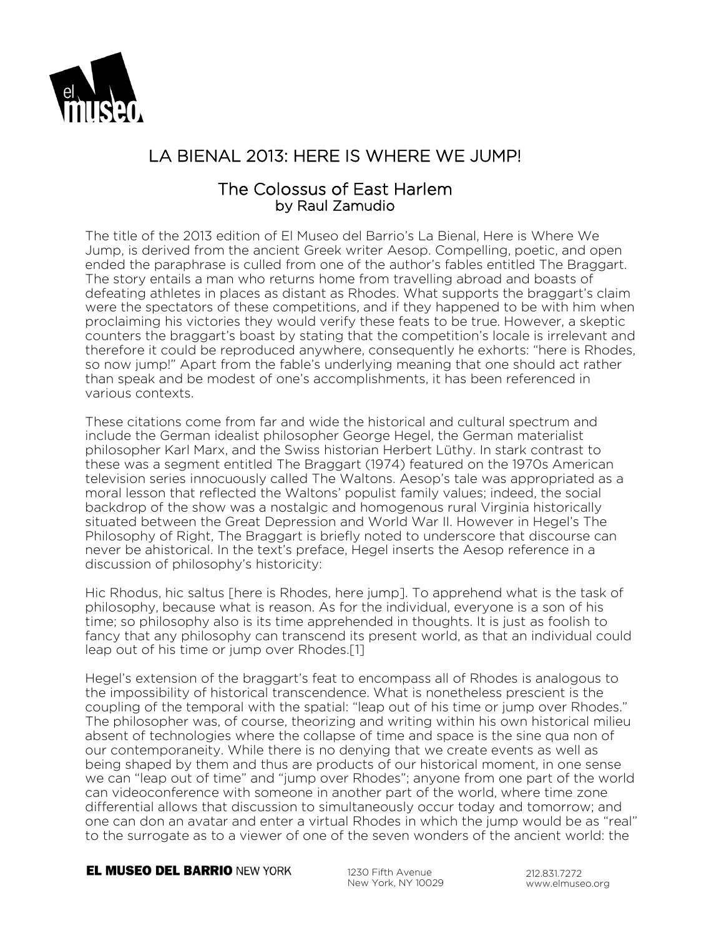

# LA BIENAL 2013: HERE IS WHERE WE JUMP!

## The Colossus of East Harlem by Raul Zamudio

The title of the 2013 edition of El Museo del Barrio's La Bienal, Here is Where We Jump, is derived from the ancient Greek writer Aesop. Compelling, poetic, and open ended the paraphrase is culled from one of the author's fables entitled The Braggart. The story entails a man who returns home from travelling abroad and boasts of defeating athletes in places as distant as Rhodes. What supports the braggart's claim were the spectators of these competitions, and if they happened to be with him when proclaiming his victories they would verify these feats to be true. However, a skeptic counters the braggart's boast by stating that the competition's locale is irrelevant and therefore it could be reproduced anywhere, consequently he exhorts: "here is Rhodes, so now jump!" Apart from the fable's underlying meaning that one should act rather than speak and be modest of one's accomplishments, it has been referenced in various contexts.

These citations come from far and wide the historical and cultural spectrum and include the German idealist philosopher George Hegel, the German materialist philosopher Karl Marx, and the Swiss historian Herbert Lüthy. In stark contrast to these was a segment entitled The Braggart (1974) featured on the 1970s American television series innocuously called The Waltons. Aesop's tale was appropriated as a moral lesson that reflected the Waltons' populist family values; indeed, the social backdrop of the show was a nostalgic and homogenous rural Virginia historically situated between the Great Depression and World War II. However in Hegel's The Philosophy of Right, The Braggart is briefly noted to underscore that discourse can never be ahistorical. In the text's preface, Hegel inserts the Aesop reference in a discussion of philosophy's historicity:

Hic Rhodus, hic saltus [here is Rhodes, here jump]. To apprehend what is the task of philosophy, because what is reason. As for the individual, everyone is a son of his time; so philosophy also is its time apprehended in thoughts. It is just as foolish to fancy that any philosophy can transcend its present world, as that an individual could leap out of his time or jump over Rhodes.[1]

Hegel's extension of the braggart's feat to encompass all of Rhodes is analogous to the impossibility of historical transcendence. What is nonetheless prescient is the coupling of the temporal with the spatial: "leap out of his time or jump over Rhodes." The philosopher was, of course, theorizing and writing within his own historical milieu absent of technologies where the collapse of time and space is the sine qua non of our contemporaneity. While there is no denying that we create events as well as being shaped by them and thus are products of our historical moment, in one sense we can "leap out of time" and "jump over Rhodes"; anyone from one part of the world can videoconference with someone in another part of the world, where time zone differential allows that discussion to simultaneously occur today and tomorrow; and one can don an avatar and enter a virtual Rhodes in which the jump would be as "real" to the surrogate as to a viewer of one of the seven wonders of the ancient world: the

**EL MUSEO DEL BARRIO NEW YORK** 

1230 Fifth Avenue New York, NY 10029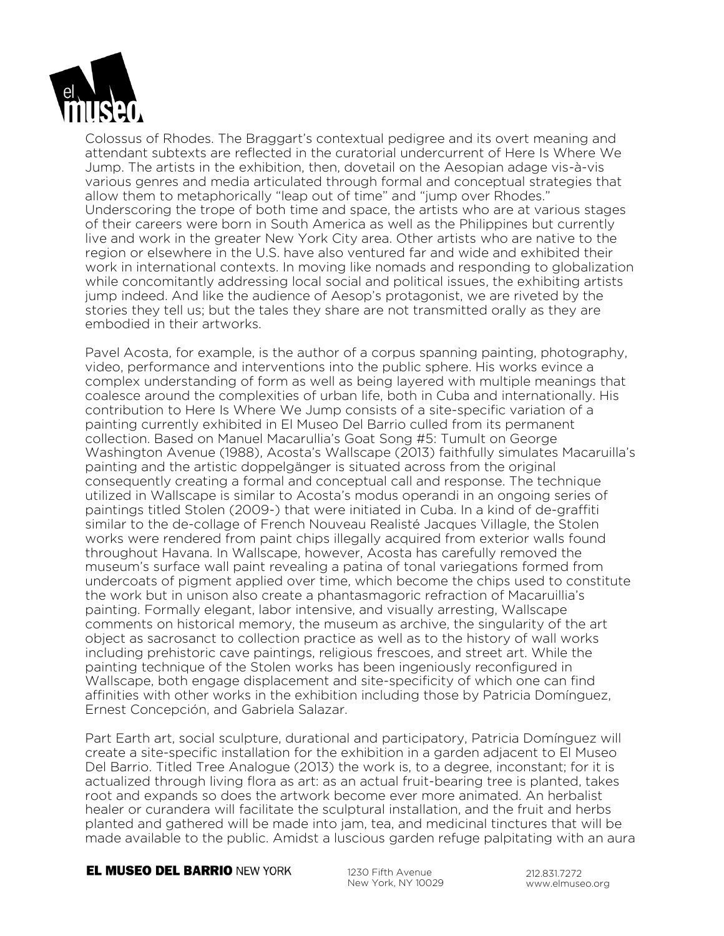

Colossus of Rhodes. The Braggart's contextual pedigree and its overt meaning and attendant subtexts are reflected in the curatorial undercurrent of Here Is Where We Jump. The artists in the exhibition, then, dovetail on the Aesopian adage vis-à-vis various genres and media articulated through formal and conceptual strategies that allow them to metaphorically "leap out of time" and "jump over Rhodes." Underscoring the trope of both time and space, the artists who are at various stages of their careers were born in South America as well as the Philippines but currently live and work in the greater New York City area. Other artists who are native to the region or elsewhere in the U.S. have also ventured far and wide and exhibited their work in international contexts. In moving like nomads and responding to globalization while concomitantly addressing local social and political issues, the exhibiting artists jump indeed. And like the audience of Aesop's protagonist, we are riveted by the stories they tell us; but the tales they share are not transmitted orally as they are embodied in their artworks.

Pavel Acosta, for example, is the author of a corpus spanning painting, photography, video, performance and interventions into the public sphere. His works evince a complex understanding of form as well as being layered with multiple meanings that coalesce around the complexities of urban life, both in Cuba and internationally. His contribution to Here Is Where We Jump consists of a site-specific variation of a painting currently exhibited in El Museo Del Barrio culled from its permanent collection. Based on Manuel Macarullia's Goat Song #5: Tumult on George Washington Avenue (1988), Acosta's Wallscape (2013) faithfully simulates Macaruilla's painting and the artistic doppelgänger is situated across from the original consequently creating a formal and conceptual call and response. The technique utilized in Wallscape is similar to Acosta's modus operandi in an ongoing series of paintings titled Stolen (2009-) that were initiated in Cuba. In a kind of de-graffiti similar to the de-collage of French Nouveau Realisté Jacques Villagle, the Stolen works were rendered from paint chips illegally acquired from exterior walls found throughout Havana. In Wallscape, however, Acosta has carefully removed the museum's surface wall paint revealing a patina of tonal variegations formed from undercoats of pigment applied over time, which become the chips used to constitute the work but in unison also create a phantasmagoric refraction of Macaruillia's painting. Formally elegant, labor intensive, and visually arresting, Wallscape comments on historical memory, the museum as archive, the singularity of the art object as sacrosanct to collection practice as well as to the history of wall works including prehistoric cave paintings, religious frescoes, and street art. While the painting technique of the Stolen works has been ingeniously reconfigured in Wallscape, both engage displacement and site-specificity of which one can find affinities with other works in the exhibition including those by Patricia Domínguez, Ernest Concepción, and Gabriela Salazar.

Part Earth art, social sculpture, durational and participatory, Patricia Domínguez will create a site-specific installation for the exhibition in a garden adjacent to El Museo Del Barrio. Titled Tree Analogue (2013) the work is, to a degree, inconstant; for it is actualized through living flora as art: as an actual fruit-bearing tree is planted, takes root and expands so does the artwork become ever more animated. An herbalist healer or curandera will facilitate the sculptural installation, and the fruit and herbs planted and gathered will be made into jam, tea, and medicinal tinctures that will be made available to the public. Amidst a luscious garden refuge palpitating with an aura

**EL MUSEO DEL BARRIO NEW YORK** 

1230 Fifth Avenue New York, NY 10029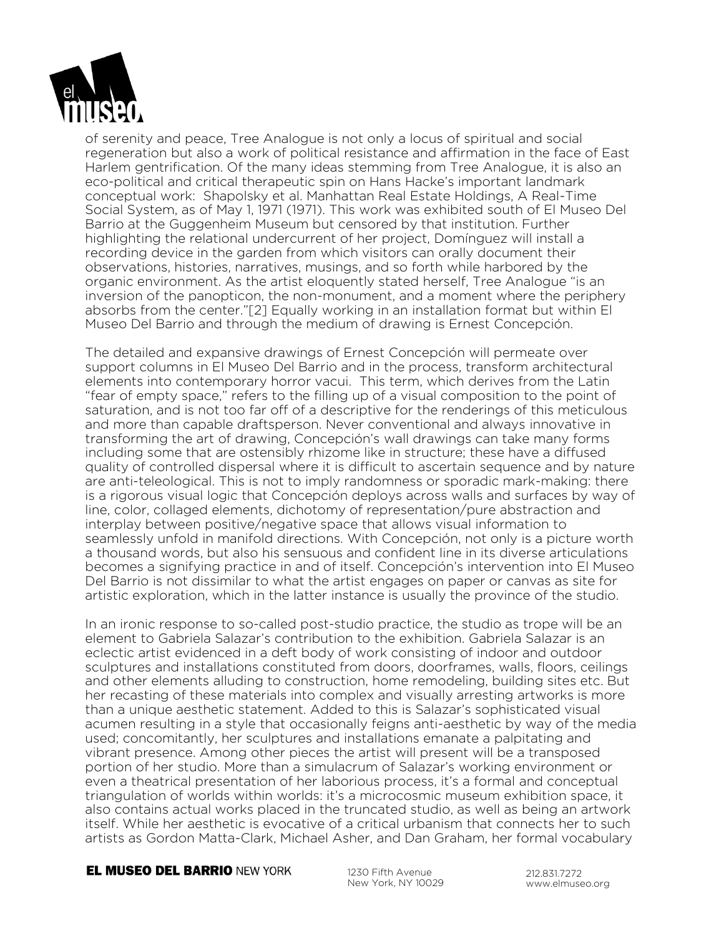

of serenity and peace, Tree Analogue is not only a locus of spiritual and social regeneration but also a work of political resistance and affirmation in the face of East Harlem gentrification. Of the many ideas stemming from Tree Analogue, it is also an eco-political and critical therapeutic spin on Hans Hacke's important landmark conceptual work: Shapolsky et al. Manhattan Real Estate Holdings, A Real-Time Social System, as of May 1, 1971 (1971). This work was exhibited south of El Museo Del Barrio at the Guggenheim Museum but censored by that institution. Further highlighting the relational undercurrent of her project, Domínguez will install a recording device in the garden from which visitors can orally document their observations, histories, narratives, musings, and so forth while harbored by the organic environment. As the artist eloquently stated herself, Tree Analogue "is an inversion of the panopticon, the non-monument, and a moment where the periphery absorbs from the center."[2] Equally working in an installation format but within El Museo Del Barrio and through the medium of drawing is Ernest Concepción.

The detailed and expansive drawings of Ernest Concepción will permeate over support columns in El Museo Del Barrio and in the process, transform architectural elements into contemporary horror vacui. This term, which derives from the Latin "fear of empty space," refers to the filling up of a visual composition to the point of saturation, and is not too far off of a descriptive for the renderings of this meticulous and more than capable draftsperson. Never conventional and always innovative in transforming the art of drawing, Concepción's wall drawings can take many forms including some that are ostensibly rhizome like in structure; these have a diffused quality of controlled dispersal where it is difficult to ascertain sequence and by nature are anti-teleological. This is not to imply randomness or sporadic mark-making: there is a rigorous visual logic that Concepción deploys across walls and surfaces by way of line, color, collaged elements, dichotomy of representation/pure abstraction and interplay between positive/negative space that allows visual information to seamlessly unfold in manifold directions. With Concepción, not only is a picture worth a thousand words, but also his sensuous and confident line in its diverse articulations becomes a signifying practice in and of itself. Concepción's intervention into El Museo Del Barrio is not dissimilar to what the artist engages on paper or canvas as site for artistic exploration, which in the latter instance is usually the province of the studio.

In an ironic response to so-called post-studio practice, the studio as trope will be an element to Gabriela Salazar's contribution to the exhibition. Gabriela Salazar is an eclectic artist evidenced in a deft body of work consisting of indoor and outdoor sculptures and installations constituted from doors, doorframes, walls, floors, ceilings and other elements alluding to construction, home remodeling, building sites etc. But her recasting of these materials into complex and visually arresting artworks is more than a unique aesthetic statement. Added to this is Salazar's sophisticated visual acumen resulting in a style that occasionally feigns anti-aesthetic by way of the media used; concomitantly, her sculptures and installations emanate a palpitating and vibrant presence. Among other pieces the artist will present will be a transposed portion of her studio. More than a simulacrum of Salazar's working environment or even a theatrical presentation of her laborious process, it's a formal and conceptual triangulation of worlds within worlds: it's a microcosmic museum exhibition space, it also contains actual works placed in the truncated studio, as well as being an artwork itself. While her aesthetic is evocative of a critical urbanism that connects her to such artists as Gordon Matta-Clark, Michael Asher, and Dan Graham, her formal vocabulary

### **EL MUSEO DEL BARRIO NEW YORK**

1230 Fifth Avenue New York, NY 10029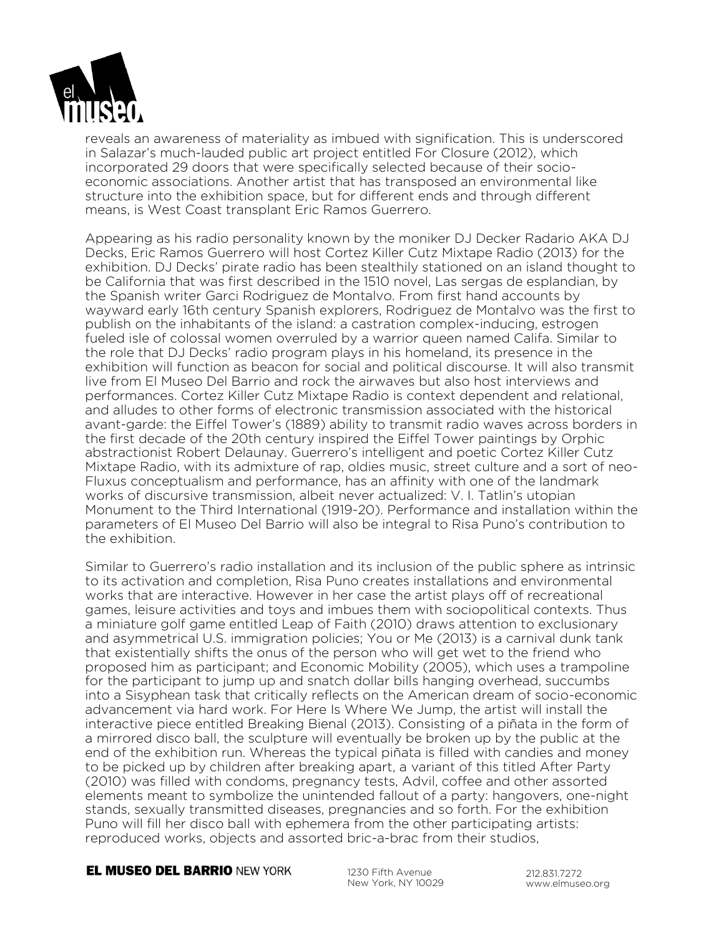

reveals an awareness of materiality as imbued with signification. This is underscored in Salazar's much-lauded public art project entitled For Closure (2012), which incorporated 29 doors that were specifically selected because of their socioeconomic associations. Another artist that has transposed an environmental like structure into the exhibition space, but for different ends and through different means, is West Coast transplant Eric Ramos Guerrero.

Appearing as his radio personality known by the moniker DJ Decker Radario AKA DJ Decks, Eric Ramos Guerrero will host Cortez Killer Cutz Mixtape Radio (2013) for the exhibition. DJ Decks' pirate radio has been stealthily stationed on an island thought to be California that was first described in the 1510 novel, Las sergas de esplandian, by the Spanish writer Garci Rodriguez de Montalvo. From first hand accounts by wayward early 16th century Spanish explorers, Rodriguez de Montalvo was the first to publish on the inhabitants of the island: a castration complex-inducing, estrogen fueled isle of colossal women overruled by a warrior queen named Califa. Similar to the role that DJ Decks' radio program plays in his homeland, its presence in the exhibition will function as beacon for social and political discourse. It will also transmit live from El Museo Del Barrio and rock the airwaves but also host interviews and performances. Cortez Killer Cutz Mixtape Radio is context dependent and relational, and alludes to other forms of electronic transmission associated with the historical avant-garde: the Eiffel Tower's (1889) ability to transmit radio waves across borders in the first decade of the 20th century inspired the Eiffel Tower paintings by Orphic abstractionist Robert Delaunay. Guerrero's intelligent and poetic Cortez Killer Cutz Mixtape Radio, with its admixture of rap, oldies music, street culture and a sort of neo-Fluxus conceptualism and performance, has an affinity with one of the landmark works of discursive transmission, albeit never actualized: V. I. Tatlin's utopian Monument to the Third International (1919-20). Performance and installation within the parameters of El Museo Del Barrio will also be integral to Risa Puno's contribution to the exhibition.

Similar to Guerrero's radio installation and its inclusion of the public sphere as intrinsic to its activation and completion, Risa Puno creates installations and environmental works that are interactive. However in her case the artist plays off of recreational games, leisure activities and toys and imbues them with sociopolitical contexts. Thus a miniature golf game entitled Leap of Faith (2010) draws attention to exclusionary and asymmetrical U.S. immigration policies; You or Me (2013) is a carnival dunk tank that existentially shifts the onus of the person who will get wet to the friend who proposed him as participant; and Economic Mobility (2005), which uses a trampoline for the participant to jump up and snatch dollar bills hanging overhead, succumbs into a Sisyphean task that critically reflects on the American dream of socio-economic advancement via hard work. For Here Is Where We Jump, the artist will install the interactive piece entitled Breaking Bienal (2013). Consisting of a piñata in the form of a mirrored disco ball, the sculpture will eventually be broken up by the public at the end of the exhibition run. Whereas the typical piñata is filled with candies and money to be picked up by children after breaking apart, a variant of this titled After Party (2010) was filled with condoms, pregnancy tests, Advil, coffee and other assorted elements meant to symbolize the unintended fallout of a party: hangovers, one-night stands, sexually transmitted diseases, pregnancies and so forth. For the exhibition Puno will fill her disco ball with ephemera from the other participating artists: reproduced works, objects and assorted bric-a-brac from their studios,

### **EL MUSEO DEL BARRIO NEW YORK**

1230 Fifth Avenue New York, NY 10029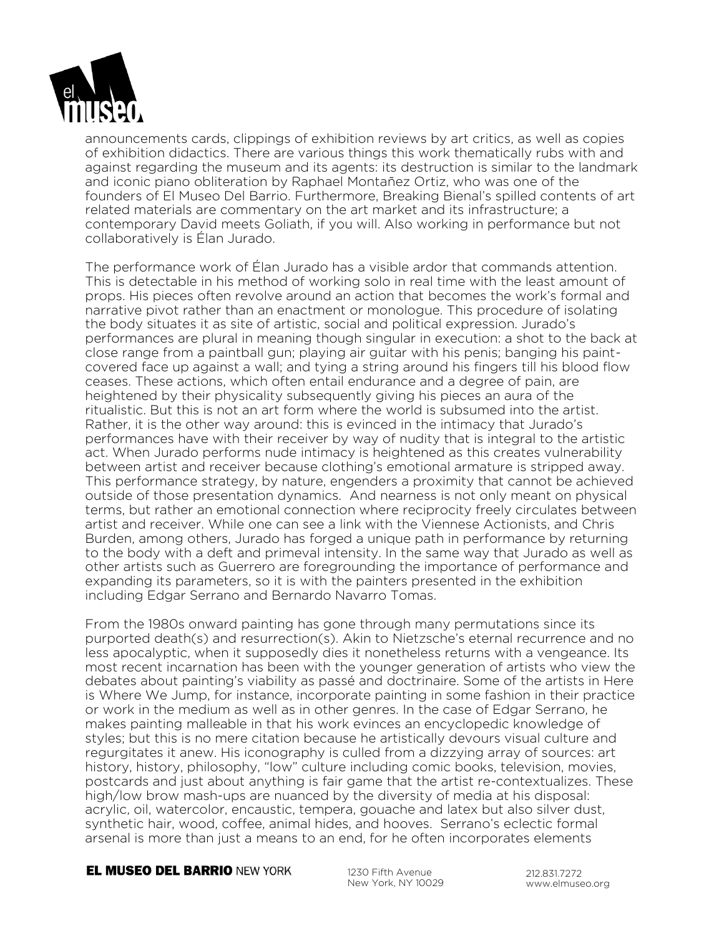

announcements cards, clippings of exhibition reviews by art critics, as well as copies of exhibition didactics. There are various things this work thematically rubs with and against regarding the museum and its agents: its destruction is similar to the landmark and iconic piano obliteration by Raphael Montañez Ortiz, who was one of the founders of El Museo Del Barrio. Furthermore, Breaking Bienal's spilled contents of art related materials are commentary on the art market and its infrastructure; a contemporary David meets Goliath, if you will. Also working in performance but not collaboratively is Élan Jurado.

The performance work of Élan Jurado has a visible ardor that commands attention. This is detectable in his method of working solo in real time with the least amount of props. His pieces often revolve around an action that becomes the work's formal and narrative pivot rather than an enactment or monologue. This procedure of isolating the body situates it as site of artistic, social and political expression. Jurado's performances are plural in meaning though singular in execution: a shot to the back at close range from a paintball gun; playing air guitar with his penis; banging his paintcovered face up against a wall; and tying a string around his fingers till his blood flow ceases. These actions, which often entail endurance and a degree of pain, are heightened by their physicality subsequently giving his pieces an aura of the ritualistic. But this is not an art form where the world is subsumed into the artist. Rather, it is the other way around: this is evinced in the intimacy that Jurado's performances have with their receiver by way of nudity that is integral to the artistic act. When Jurado performs nude intimacy is heightened as this creates vulnerability between artist and receiver because clothing's emotional armature is stripped away. This performance strategy, by nature, engenders a proximity that cannot be achieved outside of those presentation dynamics. And nearness is not only meant on physical terms, but rather an emotional connection where reciprocity freely circulates between artist and receiver. While one can see a link with the Viennese Actionists, and Chris Burden, among others, Jurado has forged a unique path in performance by returning to the body with a deft and primeval intensity. In the same way that Jurado as well as other artists such as Guerrero are foregrounding the importance of performance and expanding its parameters, so it is with the painters presented in the exhibition including Edgar Serrano and Bernardo Navarro Tomas.

From the 1980s onward painting has gone through many permutations since its purported death(s) and resurrection(s). Akin to Nietzsche's eternal recurrence and no less apocalyptic, when it supposedly dies it nonetheless returns with a vengeance. Its most recent incarnation has been with the younger generation of artists who view the debates about painting's viability as passé and doctrinaire. Some of the artists in Here is Where We Jump, for instance, incorporate painting in some fashion in their practice or work in the medium as well as in other genres. In the case of Edgar Serrano, he makes painting malleable in that his work evinces an encyclopedic knowledge of styles; but this is no mere citation because he artistically devours visual culture and regurgitates it anew. His iconography is culled from a dizzying array of sources: art history, history, philosophy, "low" culture including comic books, television, movies, postcards and just about anything is fair game that the artist re-contextualizes. These high/low brow mash-ups are nuanced by the diversity of media at his disposal: acrylic, oil, watercolor, encaustic, tempera, gouache and latex but also silver dust, synthetic hair, wood, coffee, animal hides, and hooves. Serrano's eclectic formal arsenal is more than just a means to an end, for he often incorporates elements

### **EL MUSEO DEL BARRIO NEW YORK**

1230 Fifth Avenue New York, NY 10029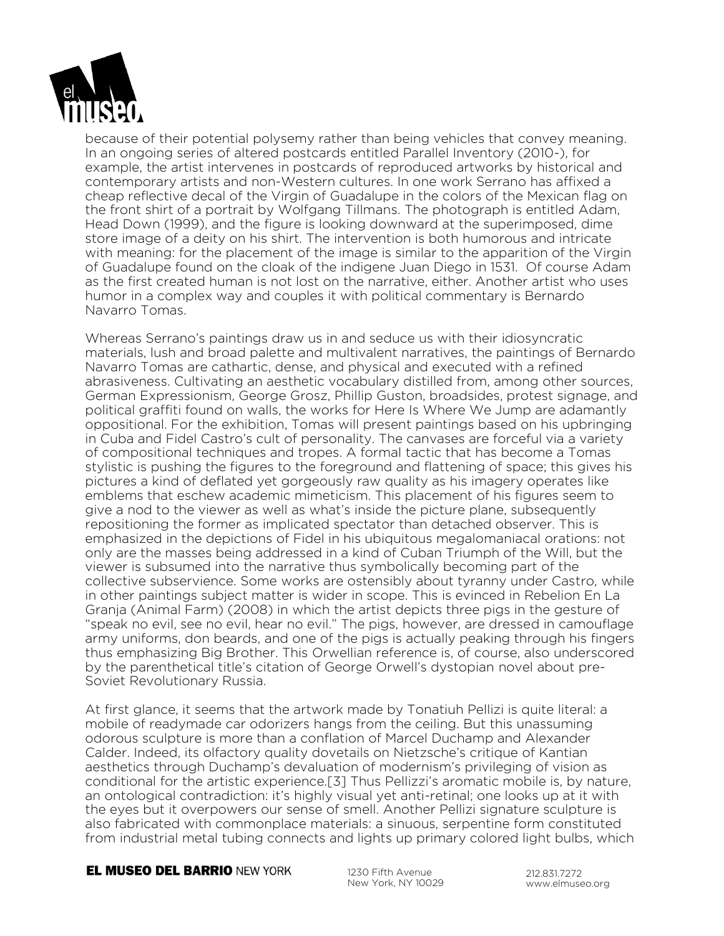

because of their potential polysemy rather than being vehicles that convey meaning. In an ongoing series of altered postcards entitled Parallel Inventory (2010-), for example, the artist intervenes in postcards of reproduced artworks by historical and contemporary artists and non-Western cultures. In one work Serrano has affixed a cheap reflective decal of the Virgin of Guadalupe in the colors of the Mexican flag on the front shirt of a portrait by Wolfgang Tillmans. The photograph is entitled Adam, Head Down (1999), and the figure is looking downward at the superimposed, dime store image of a deity on his shirt. The intervention is both humorous and intricate with meaning: for the placement of the image is similar to the apparition of the Virgin of Guadalupe found on the cloak of the indigene Juan Diego in 1531. Of course Adam as the first created human is not lost on the narrative, either. Another artist who uses humor in a complex way and couples it with political commentary is Bernardo Navarro Tomas.

Whereas Serrano's paintings draw us in and seduce us with their idiosyncratic materials, lush and broad palette and multivalent narratives, the paintings of Bernardo Navarro Tomas are cathartic, dense, and physical and executed with a refined abrasiveness. Cultivating an aesthetic vocabulary distilled from, among other sources, German Expressionism, George Grosz, Phillip Guston, broadsides, protest signage, and political graffiti found on walls, the works for Here Is Where We Jump are adamantly oppositional. For the exhibition, Tomas will present paintings based on his upbringing in Cuba and Fidel Castro's cult of personality. The canvases are forceful via a variety of compositional techniques and tropes. A formal tactic that has become a Tomas stylistic is pushing the figures to the foreground and flattening of space; this gives his pictures a kind of deflated yet gorgeously raw quality as his imagery operates like emblems that eschew academic mimeticism. This placement of his figures seem to give a nod to the viewer as well as what's inside the picture plane, subsequently repositioning the former as implicated spectator than detached observer. This is emphasized in the depictions of Fidel in his ubiquitous megalomaniacal orations: not only are the masses being addressed in a kind of Cuban Triumph of the Will, but the viewer is subsumed into the narrative thus symbolically becoming part of the collective subservience. Some works are ostensibly about tyranny under Castro, while in other paintings subject matter is wider in scope. This is evinced in Rebelion En La Granja (Animal Farm) (2008) in which the artist depicts three pigs in the gesture of "speak no evil, see no evil, hear no evil." The pigs, however, are dressed in camouflage army uniforms, don beards, and one of the pigs is actually peaking through his fingers thus emphasizing Big Brother. This Orwellian reference is, of course, also underscored by the parenthetical title's citation of George Orwell's dystopian novel about pre-Soviet Revolutionary Russia.

At first glance, it seems that the artwork made by Tonatiuh Pellizi is quite literal: a mobile of readymade car odorizers hangs from the ceiling. But this unassuming odorous sculpture is more than a conflation of Marcel Duchamp and Alexander Calder. Indeed, its olfactory quality dovetails on Nietzsche's critique of Kantian aesthetics through Duchamp's devaluation of modernism's privileging of vision as conditional for the artistic experience.[3] Thus Pellizzi's aromatic mobile is, by nature, an ontological contradiction: it's highly visual yet anti-retinal; one looks up at it with the eyes but it overpowers our sense of smell. Another Pellizi signature sculpture is also fabricated with commonplace materials: a sinuous, serpentine form constituted from industrial metal tubing connects and lights up primary colored light bulbs, which

**EL MUSEO DEL BARRIO NEW YORK** 

1230 Fifth Avenue New York, NY 10029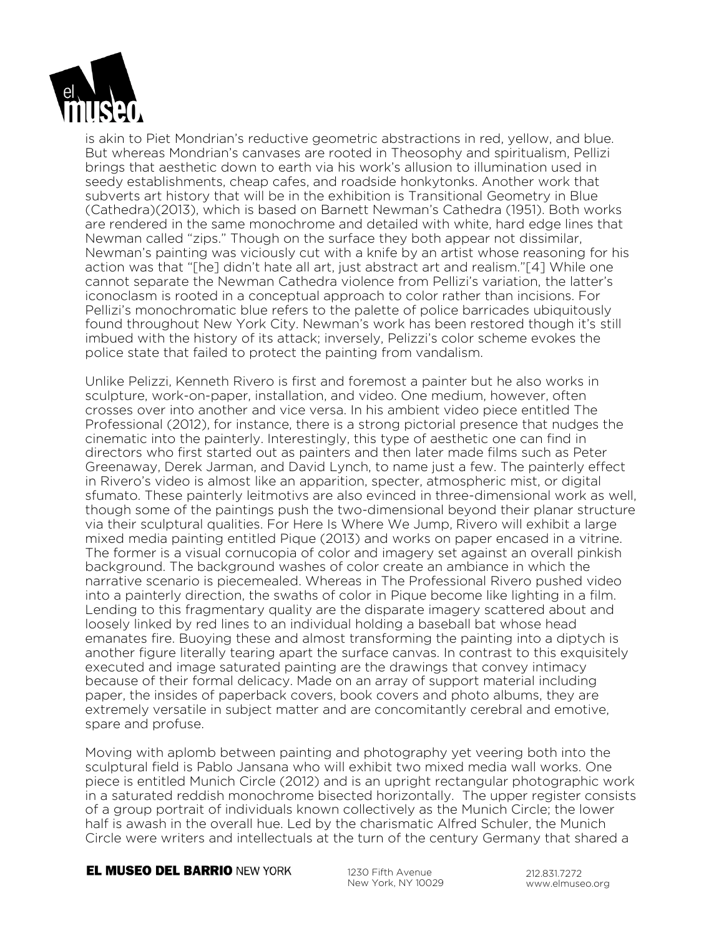

is akin to Piet Mondrian's reductive geometric abstractions in red, yellow, and blue. But whereas Mondrian's canvases are rooted in Theosophy and spiritualism, Pellizi brings that aesthetic down to earth via his work's allusion to illumination used in seedy establishments, cheap cafes, and roadside honkytonks. Another work that subverts art history that will be in the exhibition is Transitional Geometry in Blue (Cathedra)(2013), which is based on Barnett Newman's Cathedra (1951). Both works are rendered in the same monochrome and detailed with white, hard edge lines that Newman called "zips." Though on the surface they both appear not dissimilar, Newman's painting was viciously cut with a knife by an artist whose reasoning for his action was that "[he] didn't hate all art, just abstract art and realism."[4] While one cannot separate the Newman Cathedra violence from Pellizi's variation, the latter's iconoclasm is rooted in a conceptual approach to color rather than incisions. For Pellizi's monochromatic blue refers to the palette of police barricades ubiquitously found throughout New York City. Newman's work has been restored though it's still imbued with the history of its attack; inversely, Pelizzi's color scheme evokes the police state that failed to protect the painting from vandalism.

Unlike Pelizzi, Kenneth Rivero is first and foremost a painter but he also works in sculpture, work-on-paper, installation, and video. One medium, however, often crosses over into another and vice versa. In his ambient video piece entitled The Professional (2012), for instance, there is a strong pictorial presence that nudges the cinematic into the painterly. Interestingly, this type of aesthetic one can find in directors who first started out as painters and then later made films such as Peter Greenaway, Derek Jarman, and David Lynch, to name just a few. The painterly effect in Rivero's video is almost like an apparition, specter, atmospheric mist, or digital sfumato. These painterly leitmotivs are also evinced in three-dimensional work as well, though some of the paintings push the two-dimensional beyond their planar structure via their sculptural qualities. For Here Is Where We Jump, Rivero will exhibit a large mixed media painting entitled Pique (2013) and works on paper encased in a vitrine. The former is a visual cornucopia of color and imagery set against an overall pinkish background. The background washes of color create an ambiance in which the narrative scenario is piecemealed. Whereas in The Professional Rivero pushed video into a painterly direction, the swaths of color in Pique become like lighting in a film. Lending to this fragmentary quality are the disparate imagery scattered about and loosely linked by red lines to an individual holding a baseball bat whose head emanates fire. Buoying these and almost transforming the painting into a diptych is another figure literally tearing apart the surface canvas. In contrast to this exquisitely executed and image saturated painting are the drawings that convey intimacy because of their formal delicacy. Made on an array of support material including paper, the insides of paperback covers, book covers and photo albums, they are extremely versatile in subject matter and are concomitantly cerebral and emotive, spare and profuse.

Moving with aplomb between painting and photography yet veering both into the sculptural field is Pablo Jansana who will exhibit two mixed media wall works. One piece is entitled Munich Circle (2012) and is an upright rectangular photographic work in a saturated reddish monochrome bisected horizontally. The upper register consists of a group portrait of individuals known collectively as the Munich Circle; the lower half is awash in the overall hue. Led by the charismatic Alfred Schuler, the Munich Circle were writers and intellectuals at the turn of the century Germany that shared a

### **EL MUSEO DEL BARRIO NEW YORK**

1230 Fifth Avenue New York, NY 10029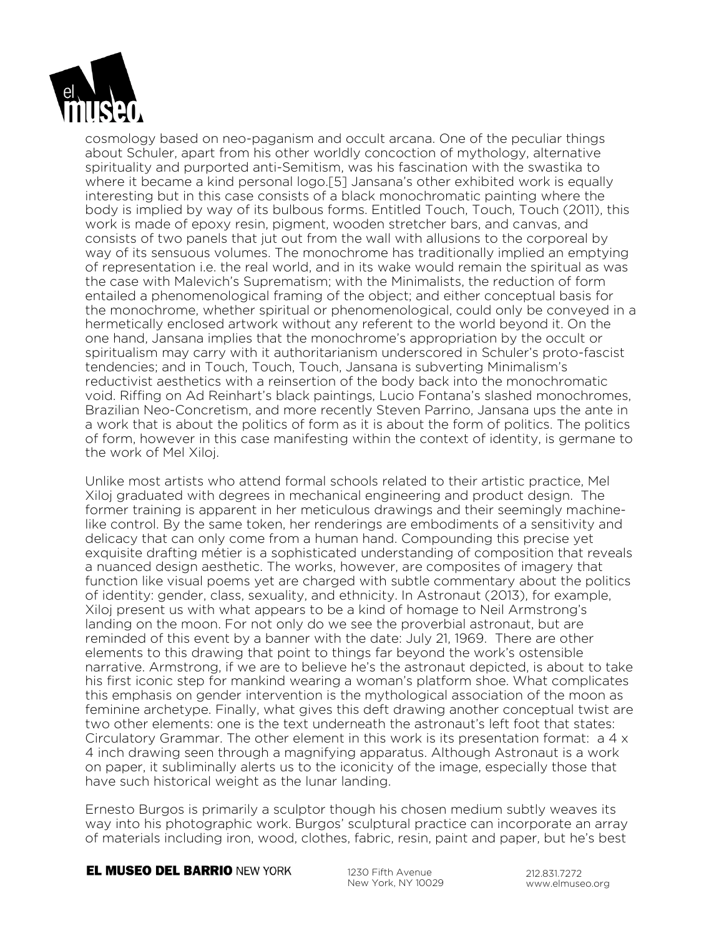

cosmology based on neo-paganism and occult arcana. One of the peculiar things about Schuler, apart from his other worldly concoction of mythology, alternative spirituality and purported anti-Semitism, was his fascination with the swastika to where it became a kind personal logo.[5] Jansana's other exhibited work is equally interesting but in this case consists of a black monochromatic painting where the body is implied by way of its bulbous forms. Entitled Touch, Touch, Touch (2011), this work is made of epoxy resin, pigment, wooden stretcher bars, and canvas, and consists of two panels that jut out from the wall with allusions to the corporeal by way of its sensuous volumes. The monochrome has traditionally implied an emptying of representation i.e. the real world, and in its wake would remain the spiritual as was the case with Malevich's Suprematism; with the Minimalists, the reduction of form entailed a phenomenological framing of the object; and either conceptual basis for the monochrome, whether spiritual or phenomenological, could only be conveyed in a hermetically enclosed artwork without any referent to the world beyond it. On the one hand, Jansana implies that the monochrome's appropriation by the occult or spiritualism may carry with it authoritarianism underscored in Schuler's proto-fascist tendencies; and in Touch, Touch, Touch, Jansana is subverting Minimalism's reductivist aesthetics with a reinsertion of the body back into the monochromatic void. Riffing on Ad Reinhart's black paintings, Lucio Fontana's slashed monochromes, Brazilian Neo-Concretism, and more recently Steven Parrino, Jansana ups the ante in a work that is about the politics of form as it is about the form of politics. The politics of form, however in this case manifesting within the context of identity, is germane to the work of Mel Xiloj.

Unlike most artists who attend formal schools related to their artistic practice, Mel Xiloj graduated with degrees in mechanical engineering and product design. The former training is apparent in her meticulous drawings and their seemingly machinelike control. By the same token, her renderings are embodiments of a sensitivity and delicacy that can only come from a human hand. Compounding this precise yet exquisite drafting métier is a sophisticated understanding of composition that reveals a nuanced design aesthetic. The works, however, are composites of imagery that function like visual poems yet are charged with subtle commentary about the politics of identity: gender, class, sexuality, and ethnicity. In Astronaut (2013), for example, Xiloj present us with what appears to be a kind of homage to Neil Armstrong's landing on the moon. For not only do we see the proverbial astronaut, but are reminded of this event by a banner with the date: July 21, 1969. There are other elements to this drawing that point to things far beyond the work's ostensible narrative. Armstrong, if we are to believe he's the astronaut depicted, is about to take his first iconic step for mankind wearing a woman's platform shoe. What complicates this emphasis on gender intervention is the mythological association of the moon as feminine archetype. Finally, what gives this deft drawing another conceptual twist are two other elements: one is the text underneath the astronaut's left foot that states: Circulatory Grammar. The other element in this work is its presentation format:  $a 4 x$ 4 inch drawing seen through a magnifying apparatus. Although Astronaut is a work on paper, it subliminally alerts us to the iconicity of the image, especially those that have such historical weight as the lunar landing.

Ernesto Burgos is primarily a sculptor though his chosen medium subtly weaves its way into his photographic work. Burgos' sculptural practice can incorporate an array of materials including iron, wood, clothes, fabric, resin, paint and paper, but he's best

**EL MUSEO DEL BARRIO NEW YORK** 

1230 Fifth Avenue New York, NY 10029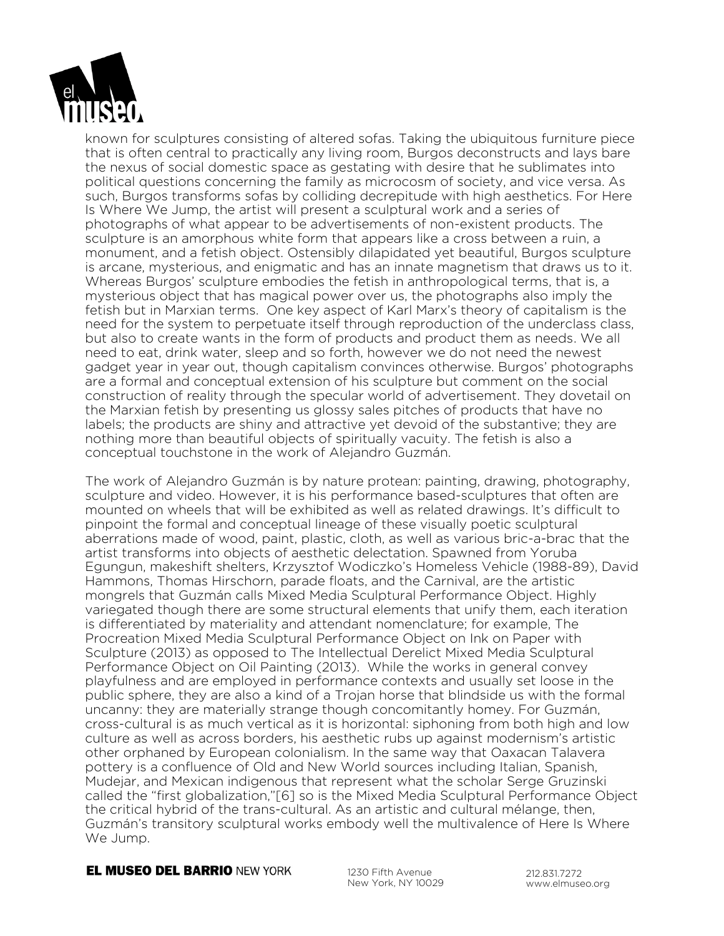

known for sculptures consisting of altered sofas. Taking the ubiquitous furniture piece that is often central to practically any living room, Burgos deconstructs and lays bare the nexus of social domestic space as gestating with desire that he sublimates into political questions concerning the family as microcosm of society, and vice versa. As such, Burgos transforms sofas by colliding decrepitude with high aesthetics. For Here Is Where We Jump, the artist will present a sculptural work and a series of photographs of what appear to be advertisements of non-existent products. The sculpture is an amorphous white form that appears like a cross between a ruin, a monument, and a fetish object. Ostensibly dilapidated yet beautiful, Burgos sculpture is arcane, mysterious, and enigmatic and has an innate magnetism that draws us to it. Whereas Burgos' sculpture embodies the fetish in anthropological terms, that is, a mysterious object that has magical power over us, the photographs also imply the fetish but in Marxian terms. One key aspect of Karl Marx's theory of capitalism is the need for the system to perpetuate itself through reproduction of the underclass class, but also to create wants in the form of products and product them as needs. We all need to eat, drink water, sleep and so forth, however we do not need the newest gadget year in year out, though capitalism convinces otherwise. Burgos' photographs are a formal and conceptual extension of his sculpture but comment on the social construction of reality through the specular world of advertisement. They dovetail on the Marxian fetish by presenting us glossy sales pitches of products that have no labels; the products are shiny and attractive yet devoid of the substantive; they are nothing more than beautiful objects of spiritually vacuity. The fetish is also a conceptual touchstone in the work of Alejandro Guzmán.

The work of Alejandro Guzmán is by nature protean: painting, drawing, photography, sculpture and video. However, it is his performance based-sculptures that often are mounted on wheels that will be exhibited as well as related drawings. It's difficult to pinpoint the formal and conceptual lineage of these visually poetic sculptural aberrations made of wood, paint, plastic, cloth, as well as various bric-a-brac that the artist transforms into objects of aesthetic delectation. Spawned from Yoruba Egungun, makeshift shelters, Krzysztof Wodiczko's Homeless Vehicle (1988-89), David Hammons, Thomas Hirschorn, parade floats, and the Carnival, are the artistic mongrels that Guzmán calls Mixed Media Sculptural Performance Object. Highly variegated though there are some structural elements that unify them, each iteration is differentiated by materiality and attendant nomenclature; for example, The Procreation Mixed Media Sculptural Performance Object on Ink on Paper with Sculpture (2013) as opposed to The Intellectual Derelict Mixed Media Sculptural Performance Object on Oil Painting (2013). While the works in general convey playfulness and are employed in performance contexts and usually set loose in the public sphere, they are also a kind of a Trojan horse that blindside us with the formal uncanny: they are materially strange though concomitantly homey. For Guzmán, cross-cultural is as much vertical as it is horizontal: siphoning from both high and low culture as well as across borders, his aesthetic rubs up against modernism's artistic other orphaned by European colonialism. In the same way that Oaxacan Talavera pottery is a confluence of Old and New World sources including Italian, Spanish, Mudejar, and Mexican indigenous that represent what the scholar Serge Gruzinski called the "first globalization,"[6] so is the Mixed Media Sculptural Performance Object the critical hybrid of the trans-cultural. As an artistic and cultural mélange, then, Guzmán's transitory sculptural works embody well the multivalence of Here Is Where We Jump.

### **EL MUSEO DEL BARRIO NEW YORK**

1230 Fifth Avenue New York, NY 10029